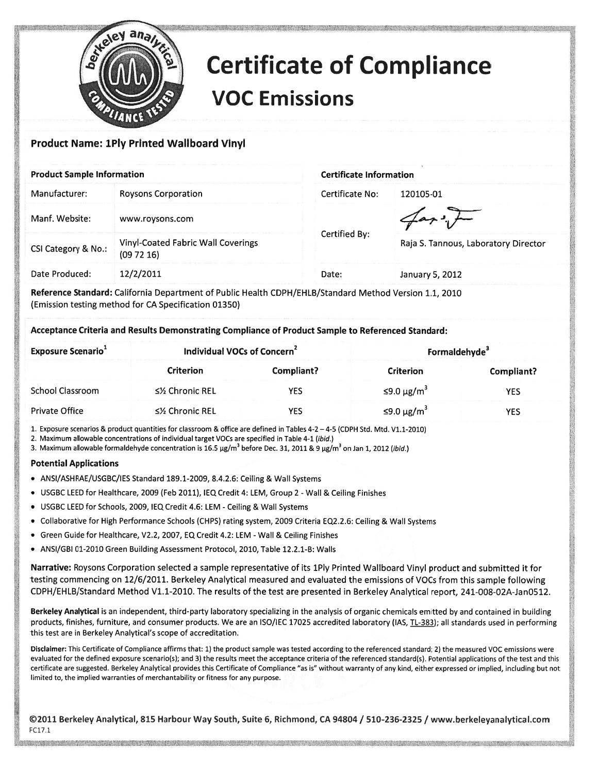

## Certificate of Compliance VOC Emissions

## Product Name: 1Ply Printed Wallboard Vinyl

| <b>Product Sample Information</b> |                                                | <b>Certificate Information</b> |                                      |
|-----------------------------------|------------------------------------------------|--------------------------------|--------------------------------------|
| Manufacturer:                     | <b>Roysons Corporation</b>                     | Certificate No:                | 120105-01                            |
| Manf. Website:                    | www.roysons.com                                |                                |                                      |
| CSI Category & No.:               | Vinyl-Coated Fabric Wall Coverings<br>(097216) | Certified By:                  | Raja S. Tannous, Laboratory Director |
| Date Produced:                    | 12/2/2011                                      | Date:                          | January 5, 2012                      |

Reference Standard: California Department of Public Health CDPH/EHLB/Standard Method Version 1.1, 2010 (Emission testing method for CA Specification 01350)

Acceptance Criteria and Results Demonstrating Compliance of Product Sample to Referenced Standard:

| <b>Exposure Scenario</b> | Individual VOCs of Concern <sup>2</sup> |            | Formaldehyde <sup>3</sup> |            |
|--------------------------|-----------------------------------------|------------|---------------------------|------------|
|                          | <b>Criterion</b>                        | Compliant? | <b>Criterion</b>          | Compliant? |
| School Classroom         | ≤½ Chronic REL                          | YES        | ≤9.0 μg/m <sup>3</sup>    | YES        |
| <b>Private Office</b>    | ≤½ Chronic REL                          | YES        | ≤9.0 μg/m <sup>3</sup>    | YES        |

1. Exposure scenarios & product quantities for classroom & office are defined in Tables 4-2 — 4-5 (CDPH std. Mtd. V1.1-2010)

2. Maximum allowable concentrations of individual target VOCs are specified in Table 4-1 (ibid.)

3. Maximum allowable formaldehyde concentration is  $16.5 \mu g/m^3$  before Dec. 31, 2011 & 9  $\mu g/m^3$  on Jan 1, 2012 (ibid.)

## Potential Applications

- ANSI/ASHRAE/USGBC/IES Standard 189.1-2009, 8.4.2.6: Ceiling & Wall Systems
- USGBC LEED for Healthcare, 2009 (Feb 2011), IEQ Credit 4: LEM, Group 2 -Wall & Ceiling Finishes
- USGBC LEED for Schools, 2009, IEQ Credit 4.6: LEM -Ceiling & Wall Systems
- Collaborative for High Performance Schools (CHPS) rating system, 2009 Criteria EQ2.2.6: Ceiling & Wall Systems
- Green Guide for Healthcare, V2.2, 2007, EQ Credit 4.2: LEM Wall & Ceiling Finishes
- ANSI/GBI 01-2010 Green Building Assessment Protocol, 2010, Table 12.2.1-B: Walls

Narrative: Roysons Corporation selected <sup>a</sup> sample representative of its iPly Printed Wallboard Vinyl product and submitted it for testing commencing on 12/6/2011. Berkeley Analytical measured and evaluated the emissions of VOCs from this sample following CDPH/EHLB/Standard Method V1.1-2010. The results of the test are presented in Berkeley Analytical report, 241-008-02A-Jan0512.

Berkeley Analytical is an independent, third-party laboratory specializing in the analysis of organic chemicals emitted by and contained in building products, finishes, furniture, and consumer products. We are an ISO/IEC 17025 accredited laboratory (IAS, TL-383); all standards used in performing this test are in Berkeley Analytical's scope of accreditation.

Disclaimer: This Certificate of Compliance affirms that: 1) the product sample was tested according to the referenced standard; 2) the measured VOC emissions were evaluated for the defined exposure scenario(s); and 3) the results meet the acceptance criteria of the referenced standard(s). Potential applications of the test and this certificate are suggested. Berkeley Analytical provides this Certificate of Compliance "as is" without warranty of any kind, either expressed or implied, including but not limited to, the implied warranties of merchantability or fitness for any purpose.

©2011 Berkeley Analytical, 815 Harbour Way South, Suite 6, Richmond, CA 94804 / 510-236-2325 / www.berkeleyanalytical.com FC17 1